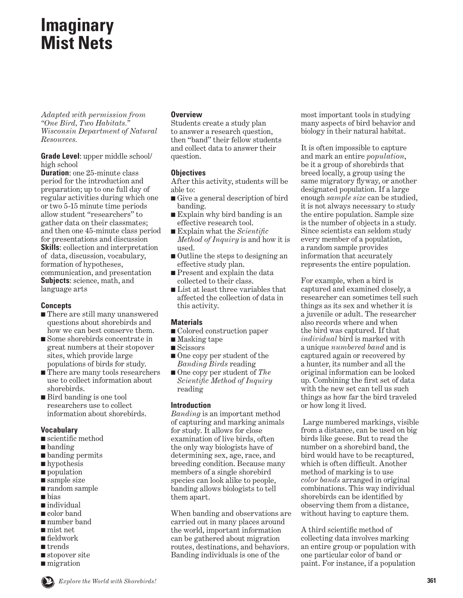# **Imaginary Mist Nets**

*Adapted with permission from "One Bird, Two Habitats." Wisconsin Department of Natural Resources.*

**Grade Level**: upper middle school/ high school

**Duration:** one 25-minute class period for the introduction and preparation; up to one full day of regular activities during which one or two 5-15 minute time periods allow student "researchers" to gather data on their classmates; and then one 45-minute class period for presentations and discussion **Skills**: collection and interpretation of data, discussion, vocabulary, formation of hypotheses, communication, and presentation **Subjects**: science, math, and language arts

## **Concepts**

- There are still many unanswered questions about shorebirds and how we can best conserve them.
- Some shorebirds concentrate in great numbers at their stopover sites, which provide large populations of birds for study.
- There are many tools researchers use to collect information about shorebirds.
- Bird banding is one tool researchers use to collect information about shorebirds.

## **Vocabulary**

- scientific method
- banding
- banding permits
- hypothesis
- population
- sample size
- random sample
- bias
- individual
- color band
- number band
- mist net
- fieldwork
- trends
- stopover site
- migration

## **Overview**

Students create a study plan to answer a research question, then "band" their fellow students and collect data to answer their question.

## **Objectives**

After this activity, students will be able to:

- Give a general description of bird banding.
- Explain why bird banding is an effective research tool.
- Explain what the *Scientific Method of Inquiry* is and how it is used.
- Outline the steps to designing an effective study plan.
- Present and explain the data collected to their class.
- List at least three variables that affected the collection of data in this activity.

## **Materials**

- Colored construction paper
- Masking tape
- Scissors
- One copy per student of the *Banding Birds* reading
- One copy per student of *The Scientific Method of Inquiry*  reading

## **Introduction**

*Banding* is an important method of capturing and marking animals for study. It allows for close examination of live birds, often the only way biologists have of determining sex, age, race, and breeding condition. Because many members of a single shorebird species can look alike to people, banding allows biologists to tell them apart.

When banding and observations are carried out in many places around the world, important information can be gathered about migration routes, destinations, and behaviors. Banding individuals is one of the

most important tools in studying many aspects of bird behavior and biology in their natural habitat.

It is often impossible to capture and mark an entire *population*, be it a group of shorebirds that breed locally, a group using the same migratory flyway, or another designated population. If a large enough *sample size* can be studied, it is not always necessary to study the entire population. Sample size is the number of objects in a study. Since scientists can seldom study every member of a population, a random sample provides information that accurately represents the entire population.

For example, when a bird is captured and examined closely, a researcher can sometimes tell such things as its sex and whether it is a juvenile or adult. The researcher also records where and when the bird was captured. If that *individual* bird is marked with a unique *numbered band* and is captured again or recovered by a hunter, its number and all the original information can be looked up. Combining the first set of data with the new set can tell us such things as how far the bird traveled or how long it lived.

 Large numbered markings, visible from a distance, can be used on big birds like geese. But to read the number on a shorebird band, the bird would have to be recaptured, which is often difficult. Another method of marking is to use *color bands* arranged in original combinations. This way individual shorebirds can be identified by observing them from a distance, without having to capture them.

A third scientific method of collecting data involves marking an entire group or population with one particular color of band or paint. For instance, if a population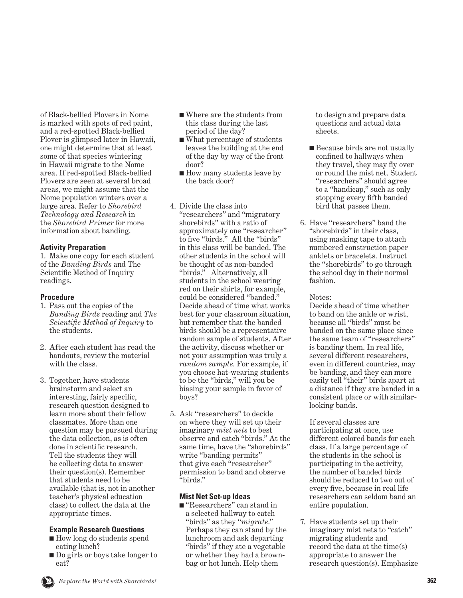of Black-bellied Plovers in Nome is marked with spots of red paint, and a red-spotted Black-bellied Plover is glimpsed later in Hawaii, one might determine that at least some of that species wintering in Hawaii migrate to the Nome area. If red-spotted Black-bellied Plovers are seen at several broad areas, we might assume that the Nome population winters over a large area. Refer to *Shorebird Technology and Research* in the *Shorebird Primer* for more information about banding.

### **Activity Preparation**

1. Make one copy for each student of the *Banding Birds* and The Scientific Method of Inquiry readings.

#### **Procedure**

- 1. Pass out the copies of the *Banding Birds* reading and *The Scientific Method of Inquiry* to the students.
- 2. After each student has read the handouts, review the material with the class.
- 3. Together, have students brainstorm and select an interesting, fairly specific, research question designed to learn more about their fellow classmates. More than one question may be pursued during the data collection, as is often done in scientific research. Tell the students they will be collecting data to answer their question(s). Remember that students need to be available (that is, not in another teacher's physical education class) to collect the data at the appropriate times.

#### **Example Research Questions**

- How long do students spend eating lunch?
- Do girls or boys take longer to eat?
- Where are the students from this class during the last period of the day?
- What percentage of students leaves the building at the end of the day by way of the front door?
- How many students leave by the back door?
- 4. Divide the class into "researchers" and "migratory shorebirds" with a ratio of approximately one "researcher" to five "birds." All the "birds" in this class will be banded. The other students in the school will be thought of as non-banded "birds." Alternatively, all students in the school wearing red on their shirts, for example, could be considered "banded." Decide ahead of time what works best for your classroom situation, but remember that the banded birds should be a representative random sample of students. After the activity, discuss whether or not your assumption was truly a *random sample*. For example, if you choose hat-wearing students to be the "birds," will you be biasing your sample in favor of boys?
- 5. Ask "researchers" to decide on where they will set up their imaginary *mist nets* to best observe and catch "birds." At the same time, have the "shorebirds" write "banding permits" that give each "researcher" permission to band and observe "birds."

#### **Mist Net Set-up Ideas**

■ "Researchers" can stand in a selected hallway to catch "birds" as they "*migrate*." Perhaps they can stand by the lunchroom and ask departing "birds" if they ate a vegetable or whether they had a brownbag or hot lunch. Help them

to design and prepare data questions and actual data sheets.

- Because birds are not usually confined to hallways when they travel, they may fly over or round the mist net. Student "researchers" should agree to a "handicap," such as only stopping every fifth banded bird that passes them.
- 6. Have "researchers" band the "shorebirds" in their class, using masking tape to attach numbered construction paper anklets or bracelets. Instruct the "shorebirds" to go through the school day in their normal fashion.

#### Notes:

 Decide ahead of time whether to band on the ankle or wrist, because all "birds" must be banded on the same place since the same team of "researchers" is banding them. In real life, several different researchers, even in different countries, may be banding, and they can more easily tell "their" birds apart at a distance if they are banded in a consistent place or with similarlooking bands.

 If several classes are participating at once, use different colored bands for each class. If a large percentage of the students in the school is participating in the activity, the number of banded birds should be reduced to two out of every five, because in real life researchers can seldom band an entire population.

7. Have students set up their imaginary mist nets to "catch" migrating students and record the data at the time(s) appropriate to answer the research question(s). Emphasize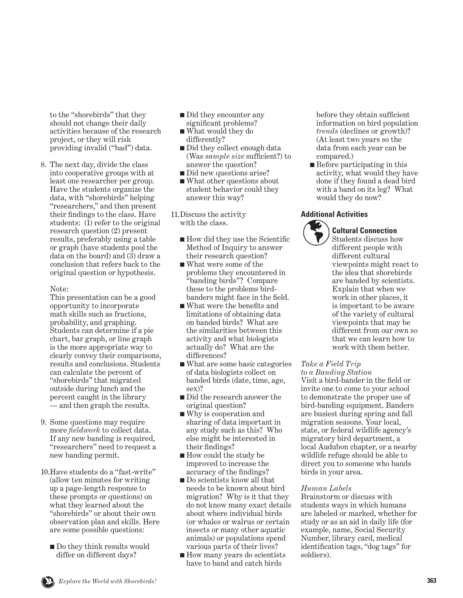to the "shorebirds" that they should not change their daily activities because of the research project, or they will risk providing invalid ("bad") data.

8. The next day, divide the class into cooperative groups with at least one researcher per group. Have the students organize the data, with "shorebirds" helping "researchers," and then present their findings to the class. Have students: (1) refer to the original research question (2) present results, preferably using a table or graph (have students pool the data on the board) and  $(\overline{3})$  draw a conclusion that refers back to the original question or hypothesis.

### Note:

 This presentation can be a good opportunity to incorporate math skills such as fractions, probability, and graphing. Students can determine if a pie chart, bar graph, or line graph is the more appropriate way to clearly convey their comparisons, results and conclusions. Students can calculate the percent of "shorebirds" that migrated outside during lunch and the percent caught in the library — and then graph the results.

- 9. Some questions may require more *fieldwork* to collect data. If any new banding is required, "researchers" need to request a new banding permit.
- 10. Have students do a "fast-write" (allow ten minutes for writing up a page-length response to these prompts or questions) on what they learned about the "shorebirds" or about their own observation plan and skills. Here are some possible questions:
	- Do they think results would differ on different days?
- Did they encounter any significant problems?
- What would they do differently?
- Did they collect enough data (Was *sample size* sufficient?) to answer the question?
- Did new questions arise?
- What other questions about student behavior could they answer this way?

11. Discuss the activity with the class.

- How did they use the Scientific Method of Inquiry to answer their research question?
- What were some of the problems they encountered in "banding birds"? Compare these to the problems birdbanders might face in the field.
- What were the benefits and limitations of obtaining data on banded birds? What are the similarities between this activity and what biologists actually do? What are the differences?
- What are some basic categories of data biologists collect on banded birds (date, time, age, sex)?
- Did the research answer the original question?
- Why is cooperation and sharing of data important in any study such as this? Who else might be interested in their findings?
- How could the study be improved to increase the accuracy of the findings?
- Do scientists know all that needs to be known about bird migration? Why is it that they do not know many exact details about where individual birds (or whales or walrus or certain insects or many other aquatic animals) or populations spend various parts of their lives?
- How many years do scientists have to band and catch birds

before they obtain sufficient information on bird population *trends* (declines or growth)? (At least two years so the data from each year can be compared.)

■ Before participating in this activity, what would they have done if they found a dead bird with a band on its leg? What would they do now?

#### **Additional Activities**



## **Cultural Connection**

Students discuss how different people with different cultural viewpoints might react to the idea that shorebirds are banded by scientists. Explain that when we work in other places, it is important to be aware of the variety of cultural viewpoints that may be different from our own so that we can learn how to work with them better.

### *Take a Field Trip*

*to a Banding Station*

Visit a bird-bander in the field or invite one to come to your school to demonstrate the proper use of bird-banding equipment. Banders are busiest during spring and fall migration seasons. Your local, state, or federal wildlife agency's migratory bird department, a local Audubon chapter, or a nearby wildlife refuge should be able to direct you to someone who bands birds in your area.

### *Human Labels*

Brainstorm or discuss with students ways in which humans are labeled or marked, whether for study or as an aid in daily life (for example, name, Social Security Number, library card, medical identification tags, "dog tags" for soldiers).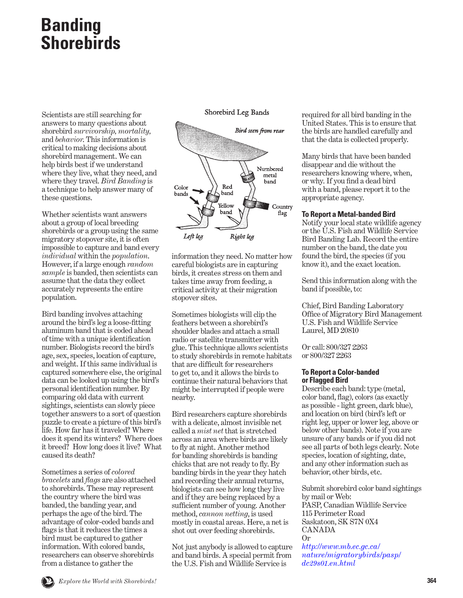# **Banding Shorebirds**

Scientists are still searching for answers to many questions about shorebird *survivorship, mortality,*  and *behavior*. This information is critical to making decisions about shorebird management. We can help birds best if we understand where they live, what they need, and where they travel. *Bird Banding* is a technique to help answer many of these questions.

Whether scientists want answers about a group of local breeding shorebirds or a group using the same migratory stopover site, it is often impossible to capture and band every *individual* within the *population*. However, if a large enough *random sample* is banded, then scientists can assume that the data they collect accurately represents the entire population.

Bird banding involves attaching around the bird's leg a loose-fitting aluminum band that is coded ahead of time with a unique identification number. Biologists record the bird's age, sex, species, location of capture, and weight. If this same individual is captured somewhere else, the original data can be looked up using the bird's personal identification number. By comparing old data with current sightings, scientists can slowly piece together answers to a sort of question puzzle to create a picture of this bird's life. How far has it traveled? Where does it spend its winters? Where does it breed? How long does it live? What caused its death?

Sometimes a series of *colored bracelets* and *flags* are also attached to shorebirds. These may represent the country where the bird was banded, the banding year, and perhaps the age of the bird. The advantage of color-coded bands and flags is that it reduces the times a bird must be captured to gather information. With colored bands, researchers can observe shorebirds from a distance to gather the

Shorebird Leg Bands



information they need. No matter how careful biologists are in capturing birds, it creates stress on them and takes time away from feeding, a critical activity at their migration stopover sites.

Sometimes biologists will clip the feathers between a shorebird's shoulder blades and attach a small radio or satellite transmitter with glue. This technique allows scientists to study shorebirds in remote habitats that are difficult for researchers to get to, and it allows the birds to continue their natural behaviors that might be interrupted if people were nearby.

Bird researchers capture shorebirds with a delicate, almost invisible net called a *mist net* that is stretched across an area where birds are likely to fly at night. Another method for banding shorebirds is banding chicks that are not ready to fly. By banding birds in the year they hatch and recording their annual returns, biologists can see how long they live and if they are being replaced by a sufficient number of young. Another method, *cannon netting*, is used mostly in coastal areas. Here, a net is shot out over feeding shorebirds.

Not just anybody is allowed to capture and band birds. A special permit from the U.S. Fish and Wildlife Service is

required for all bird banding in the United States. This is to ensure that the birds are handled carefully and that the data is collected properly.

Many birds that have been banded disappear and die without the researchers knowing where, when, or why. If you find a dead bird with a band, please report it to the appropriate agency.

#### **To Report a Metal-banded Bird**

Notify your local state wildlife agency or the U.S. Fish and Wildlife Service Bird Banding Lab. Record the entire number on the band, the date you found the bird, the species (if you know it), and the exact location.

Send this information along with the band if possible, to:

Chief, Bird Banding Laboratory Office of Migratory Bird Management U.S. Fish and Wildlife Service Laurel, MD 20810

Or call: 800/327 2263 or 800/327 2263

#### **To Report a Color-banded or Flagged Bird**

Describe each band: type (metal, color band, flag), colors (as exactly as possible - light green, dark blue), and location on bird (bird's left or right leg, upper or lower leg, above or below other bands). Note if you are unsure of any bands or if you did not see all parts of both legs clearly. Note species, location of sighting, date, and any other information such as behavior, other birds, etc.

Submit shorebird color band sightings by mail or Web: PASP, Canadian Wildlife Service 115 Perimeter Road Saskatoon, SK S7N 0X4 CANADA Or

*http://www.mb.ec.gc.ca/ [nature/migratorybirds/pasp/](http://www.mb.ec.gc.ca/nature/migratorybirds/pasp/dc29s01.en.html) dc29s01.en.html*